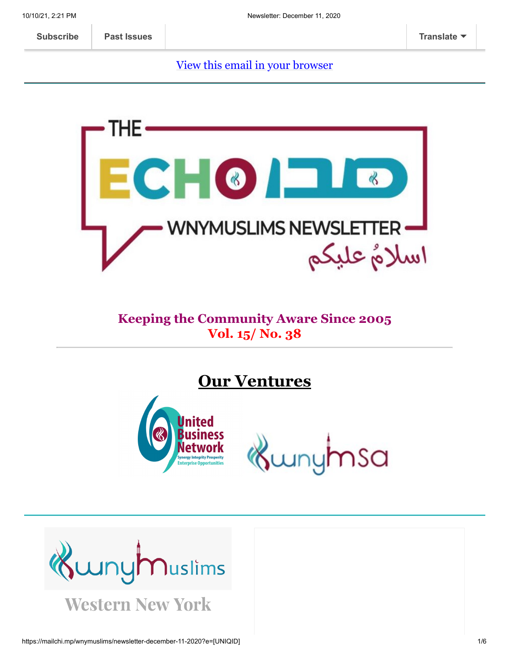#### [View this email in your browser](https://mailchi.mp/wnymuslims/newsletter-december-11-2020?e=[UNIQID])



### **Keeping the Community Aware Since 2005 Vol. 15/ No. 38**

**Our Ventures**



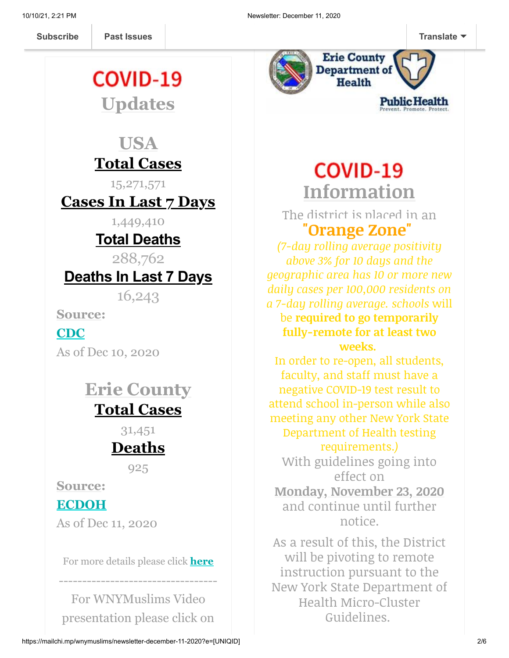[Muslims](https://us13.campaign-archive.com/home/?u=19ed6f05ad8527220a10faa63&id=636f885f5f) **[Subscribe](http://eepurl.com/b19N3D) Past Issues [Translate](javascript:;)**

# COVID-19

**Updates**

# **USA Total Cases**

15,271,571

# **Cases In Last 7 Days**

1,449,410

# **Total Deaths**

288,762

# **Deaths In Last 7 Days**

16,243

**Source:**

### **[CDC](https://covid.cdc.gov/covid-data-tracker/?CDC_AA_refVal=https%3A%2F%2Fwww.cdc.gov%2Fcoronavirus%2F2019-ncov%2Fcases-updates%2Fcases-in-us.html#cases_casesinlast7days)**

As of Dec 10, 2020

# **Erie County Total Cases**

31,451

# **Deaths**

925

**Source:**

### **[ECDOH](https://wnymuslims.us13.list-manage.com/track/click?u=19ed6f05ad8527220a10faa63&id=249ef8f8f9&e=375b9d9dab)**

As of Dec 11, 2020

For more details please click **[here](https://wnymuslims.org/event/covid-19-updates/)**

----------------------------------

For WNYMuslims Video presentation please click on



# **COVID-19 Information**

The district is placed in an **"Orange Zone"** 

*(7-day rolling average positivity above 3% for 10 days and the geographic area has 10 or more new daily cases per 100,000 residents on a 7-day rolling average. schools* will be **required to go temporarily fully-remote for at least two weeks.** 

In order to re-open, all students, faculty, and staff must have a negative COVID-19 test result to attend school in-person while also meeting any other New York State Department of Health testing requirements.*)*

With guidelines going into effect on **Monday, November 23, 2020** and continue until further notice.

As a result of this, the District will be pivoting to remote instruction pursuant to the New York State Department of Health Micro-Cluster Guidelines.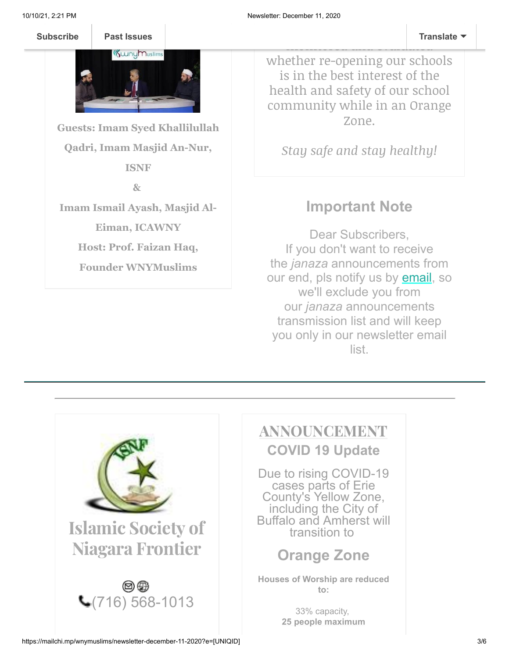Past Issues **[Subscribe](http://eepurl.com/b19N3D) Past Issues Translate**



**Guests: Imam Syed Khallilullah Qadri, Imam Masjid An-Nur, ISNF**

**&**

**Imam Ismail Ayash, Masjid Al-**

**Eiman, ICAWNY**

**Host: Prof. Faizan Haq,**

**Founder WNYMuslims**

whether re-opening our schools is in the best interest of the health and safety of our school community while in an Orange Zone.

The daily positivity rat[e will be](javascript:;) a strong of the daily positivity rate with  $\Gamma$ monitored and example and example and example and example and example and example and example and example and

*Stay safe and stay healthy!*

### **Important Note**

Dear Subscribers, If you don't want to receive the *janaza* announcements from our end, pls notify us by **email**, so we'll exclude you from our *janaza* announcements transmission list and will keep you only in our newsletter email list.



# ANNOUNCEMENT

**COVID 19 Update**

Due to rising COVID-19 cases parts of Erie County's Yellow Zone, including the City of Buffalo and Amherst will transition to

### **Orange Zone**

**Houses of Worship are reduced to:**

> 33% capacity, **25 people maximum**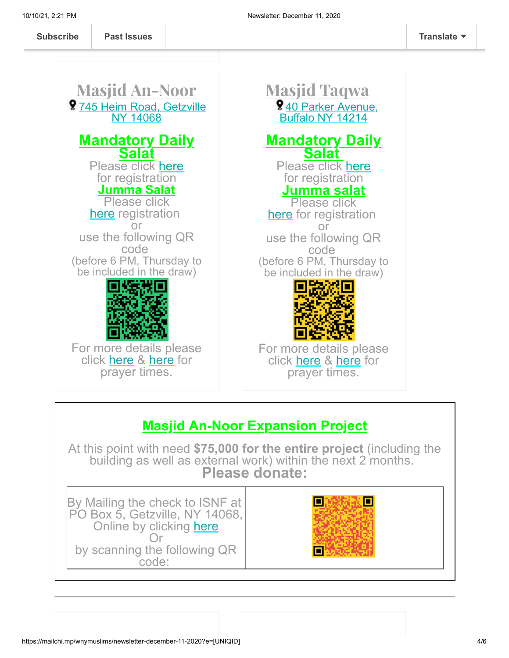Masjid An-Noor **9[745 Heim Road, Getzville](https://www.google.com/maps/place/ISNF+Masjid+An-Noor,+Amherst/@43.0204858,-78.7461322,17z/data=!3m1!4b1!4m5!3m4!1s0x89d376b45c29e355:0x2384d34a4c1ffd88!8m2!3d43.0204858!4d-78.7439435)** NY 14068 **Mandatory Daily Salat** Please click [here](https://docs.google.com/forms/d/e/1FAIpQLSccyGMsKHcNYNV4OLDnXmR7AFi6UItLWtcVURuf-u7qZ6veaw/viewform) for registration **Jumma Salat** Please click [here](https://docs.google.com/forms/d/e/1FAIpQLSeq90LWToXxw8pql2jlSthDK-fQda2cKNee1GK1NyvAO7OxUg/viewform) registration or use the following QR code (before 6 PM, Thursday to be included in the draw) For more details please click [here](https://wnymuslims.org/event/at-mosques/) & [here](http://isnf.org/prayer-times/) for prayer times. Masjid Taqwa 9[40 Parker Avenue,](https://www.google.com/maps/place/Masjid+Taqwa/@43.3093171,-79.5980345,9z/data=!4m8!1m2!2m1!1sMasjid+taqwa!3m4!1s0x89d36d559f03d805:0x1c7451c1c1c01c3d!8m2!3d42.940434!4d-78.8394265) Buffalo NY 14214 **Mandatory Daily Salat**  Please click [here](https://docs.google.com/forms/d/e/1FAIpQLSccyGMsKHcNYNV4OLDnXmR7AFi6UItLWtcVURuf-u7qZ6veaw/viewform) for registration **Jumma salat** Please click [here](http://%20https//tinyurl.com/y8z27jqg) for registration or use the following QR code (before 6 PM, Thursday to be included in the draw) For more details please click [here](https://wnymuslims.org/event/at-mosques/) & [here](http://isnf.org/prayer-times/) for prayer times.

### **Masjid An-Noor Expansion Project**

At this point with need **\$75,000 for the entire project** (including the building as well as external work) within the next 2 months. **Please donate:**

By Mailing the check to ISNF at PO Box 5, Getzville, NY 14068, Online by clicking [here](https://us.mohid.co/ny/buffalo/isnf/masjid/online/donation) Or by scanning the following QR code:

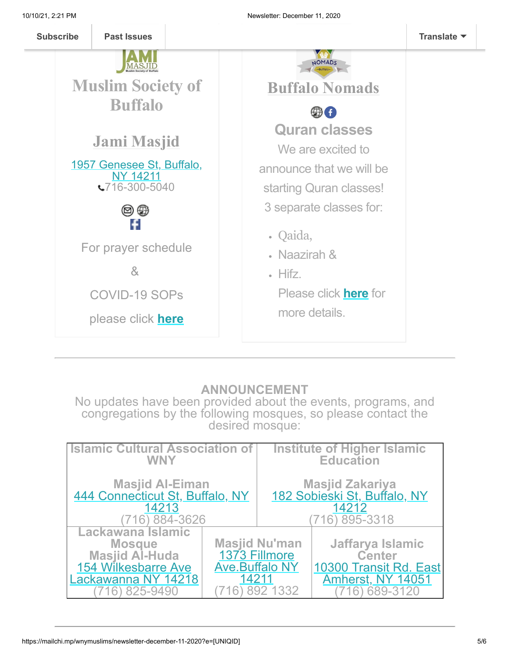

#### **ANNOUNCEMENT**

No updates have been provided about the events, programs, and congregations by the following mosques, so please contact the desired mosque:

| <b>Islamic Cultural Association of</b>                                                                                       |                                | Institute of Higher Islamic                            |                                                                                              |
|------------------------------------------------------------------------------------------------------------------------------|--------------------------------|--------------------------------------------------------|----------------------------------------------------------------------------------------------|
| <b>WNY</b>                                                                                                                   |                                | <b>Education</b>                                       |                                                                                              |
| Masjid Al-Eiman<br>444 Connecticut St, Buffalo, NY                                                                           |                                | Masjid Zakariya<br><u>182 Sobieski St, Buffalo, NY</u> |                                                                                              |
| 14213                                                                                                                        |                                | 14212                                                  |                                                                                              |
| (716) 884-3626                                                                                                               |                                | 716) 895-3318                                          |                                                                                              |
| Lackawana Islamic<br><b>Mosque</b><br><b>Masjid Al-Huda</b><br><b>154 Wilkesbarre Ave</b><br>Lackawanna NY 14218<br>825-9490 | <b>Ave.Buffalo NY</b><br>14211 | <b>Masjid Nu'man</b><br>1373 Fillmore<br>892 1332      | Jaffarya Islamic<br><b>Center</b><br>10300 Transit Rd. East<br>Amherst, NY 14051<br>689-3120 |